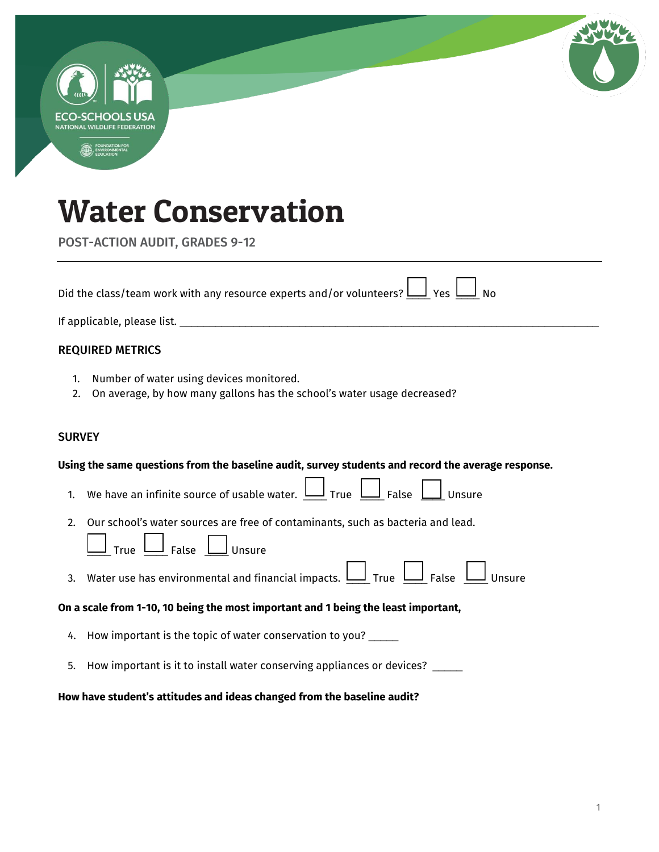|               | NATIONAL WILDLIFE FEDERATION                                                                                                                                                            |
|---------------|-----------------------------------------------------------------------------------------------------------------------------------------------------------------------------------------|
|               |                                                                                                                                                                                         |
|               | <b>Water Conservation</b>                                                                                                                                                               |
|               | <b>POST-ACTION AUDIT, GRADES 9-12</b>                                                                                                                                                   |
|               | Did the class/team work with any resource experts and/or volunteers? $\bigsqcup$ Yes $\bigsqcup$ No                                                                                     |
|               |                                                                                                                                                                                         |
|               | <b>REQUIRED METRICS</b>                                                                                                                                                                 |
| 1.<br>2.      | Number of water using devices monitored.<br>On average, by how many gallons has the school's water usage decreased?                                                                     |
| <b>SURVEY</b> |                                                                                                                                                                                         |
|               | Using the same questions from the baseline audit, survey students and record the average response.                                                                                      |
| 1.            | We have an infinite source of usable water. $\underline{\sqcup}$ True $\underline{\sqcup}$ False $\underline{\sqcup}$ Unsure                                                            |
| 2.            | Our school's water sources are free of contaminants, such as bacteria and lead.<br>$\underline{\mathsf{J}}$ Unsure<br>$\underline{\mathsf{J}}$ False $\underline{\mathsf{I}}$<br>True L |
| 3.            | Water use has environmental and financial impacts. $\bigsqcup_{n=1}^{\infty}$ True $\bigsqcup_{n=1}^{\infty}$ Unsure                                                                    |
|               | On a scale from 1-10, 10 being the most important and 1 being the least important,                                                                                                      |
| 4.            | How important is the topic of water conservation to you?                                                                                                                                |
| 5.            | How important is it to install water conserving appliances or devices? _____                                                                                                            |
|               | How have student's attitudes and ideas changed from the baseline audit?                                                                                                                 |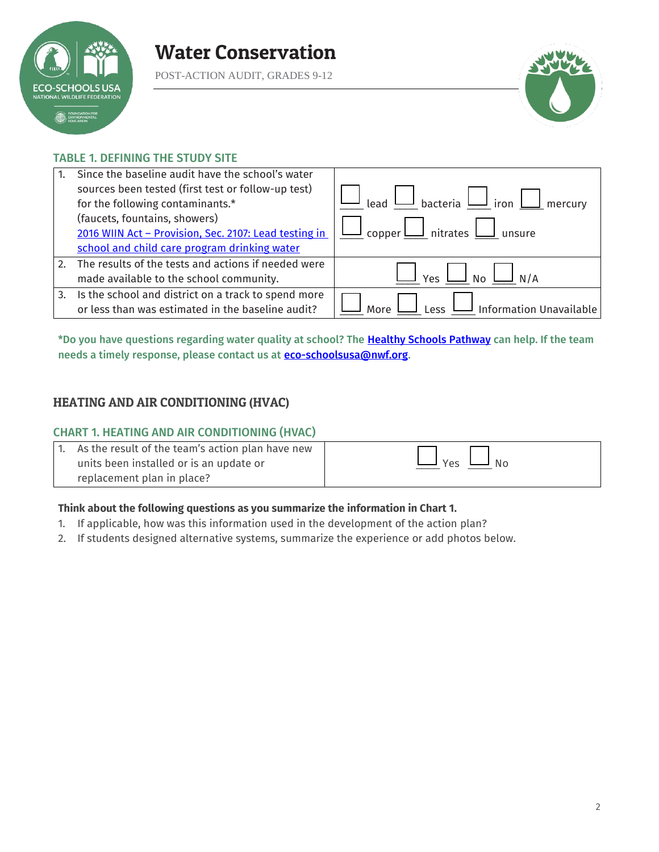

POST-ACTION AUDIT, GRADES 9-12



### TABLE 1. DEFINING THE STUDY SITE

|    | Since the baseline audit have the school's water      |                                                                                                                                                                 |
|----|-------------------------------------------------------|-----------------------------------------------------------------------------------------------------------------------------------------------------------------|
|    | sources been tested (first test or follow-up test)    |                                                                                                                                                                 |
|    | for the following contaminants.*                      | $\begin{array}{c} \begin{array}{c} \text{lead} \end{array}$ bacteria $\begin{array}{c} \square \end{array}$ iron $\begin{array}{c} \square \end{array}$ mercury |
|    | (faucets, fountains, showers)                         |                                                                                                                                                                 |
|    | 2016 WIIN Act - Provision, Sec. 2107: Lead testing in | $\lfloor$ copper $\bigsqcup$ nitrates $\bigsqcup$ unsure                                                                                                        |
|    | school and child care program drinking water          |                                                                                                                                                                 |
| 2. | The results of the tests and actions if needed were   |                                                                                                                                                                 |
|    | made available to the school community.               | <b>No</b><br>N/A                                                                                                                                                |
| 3. | Is the school and district on a track to spend more   |                                                                                                                                                                 |
|    | or less than was estimated in the baseline audit?     | $\overline{\mathsf{I}}$ Information Unavailable<br>P                                                                                                            |

\*Do you have questions regarding water quality at school? The [Healthy Schools Pathway](https://www.nwf.org/Eco-Schools-USA/Pathways/Healthy-Schools) can help. If the team needs a timely response, please contact us at **eco-schoolsusa@nwf.org**.

## HEATING AND AIR CONDITIONING (HVAC)

#### CHART 1. HEATING AND AIR CONDITIONING (HVAC)

| As the result of the team's action plan have new |     |
|--------------------------------------------------|-----|
| units been installed or is an update or          | Yes |
| replacement plan in place?                       |     |

#### **Think about the following questions as you summarize the information in Chart 1.**

- 1. If applicable, how was this information used in the development of the action plan?
- 2. If students designed alternative systems, summarize the experience or add photos below.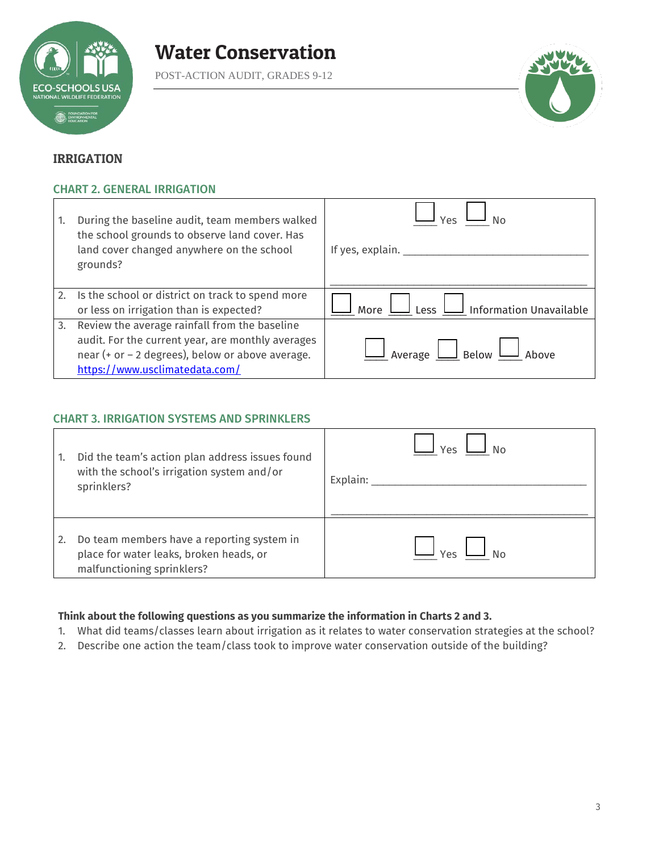

POST-ACTION AUDIT, GRADES 9-12



## IRRIGATION

### CHART 2. GENERAL IRRIGATION

| 1. | During the baseline audit, team members walked<br>the school grounds to observe land cover. Has<br>land cover changed anywhere on the school<br>grounds?                                 | / ρς<br>If yes, explain. __                      |
|----|------------------------------------------------------------------------------------------------------------------------------------------------------------------------------------------|--------------------------------------------------|
| 2. | Is the school or district on track to spend more<br>or less on irrigation than is expected?                                                                                              | $\Box$ Information Unavailable<br>More<br>Less L |
| 3. | Review the average rainfall from the baseline<br>audit. For the current year, are monthly averages<br>near (+ or - 2 degrees), below or above average.<br>https://www.usclimatedata.com/ | Average L<br>$\mathsf{\mathsf{I}}$ Below         |

#### CHART 3. IRRIGATION SYSTEMS AND SPRINKLERS

| 1. | Did the team's action plan address issues found<br>with the school's irrigation system and/or<br>sprinklers?        | Υρς<br>Explain: |
|----|---------------------------------------------------------------------------------------------------------------------|-----------------|
| 2. | Do team members have a reporting system in<br>place for water leaks, broken heads, or<br>malfunctioning sprinklers? |                 |

## **Think about the following questions as you summarize the information in Charts 2 and 3.**

- 1. What did teams/classes learn about irrigation as it relates to water conservation strategies at the school?
- 2. Describe one action the team/class took to improve water conservation outside of the building?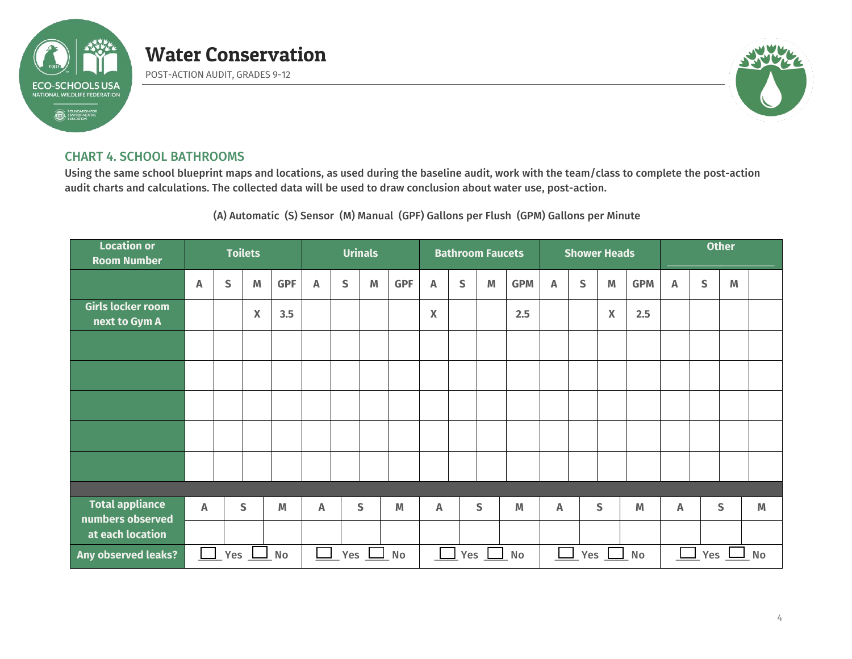

POST-ACTION AUDIT, GRADES 9-12



### CHART 4. SCHOOL BATHROOMS

Using the same school blueprint maps and locations, as used during the baseline audit, work with the team/class to complete the post-action audit charts and calculations. The collected data will be used to draw conclusion about water use, post-action.

(A) Automatic (S) Sensor (M) Manual (GPF) Gallons per Flush (GPM) Gallons per Minute

| <b>Location or</b><br><b>Room Number</b>          | <b>Toilets</b> |   |                           |            |    |                                    | <b>Urinals</b> |            | <b>Bathroom Faucets</b> |              |   |            |                           | <b>Shower Heads</b> |                           |            | <b>Other</b>              |   |   |   |
|---------------------------------------------------|----------------|---|---------------------------|------------|----|------------------------------------|----------------|------------|-------------------------|--------------|---|------------|---------------------------|---------------------|---------------------------|------------|---------------------------|---|---|---|
|                                                   | A              | S | M                         | <b>GPF</b> | A  | $\mathsf{S}$                       | M              | <b>GPF</b> | A                       | $\mathsf{S}$ | M | <b>GPM</b> | $\boldsymbol{\mathsf{A}}$ | S                   | M                         | <b>GPM</b> | $\boldsymbol{\mathsf{A}}$ | S | M |   |
| Girls locker room<br>next to Gym A                |                |   | $\boldsymbol{\mathsf{X}}$ | 3.5        |    |                                    |                |            | X                       |              |   | 2.5        |                           |                     | $\boldsymbol{\mathsf{X}}$ | 2.5        |                           |   |   |   |
|                                                   |                |   |                           |            |    |                                    |                |            |                         |              |   |            |                           |                     |                           |            |                           |   |   |   |
|                                                   |                |   |                           |            |    |                                    |                |            |                         |              |   |            |                           |                     |                           |            |                           |   |   |   |
|                                                   |                |   |                           |            |    |                                    |                |            |                         |              |   |            |                           |                     |                           |            |                           |   |   |   |
|                                                   |                |   |                           |            |    |                                    |                |            |                         |              |   |            |                           |                     |                           |            |                           |   |   |   |
|                                                   |                |   |                           |            |    |                                    |                |            |                         |              |   |            |                           |                     |                           |            |                           |   |   |   |
|                                                   |                |   |                           |            |    |                                    |                |            |                         |              |   |            |                           |                     |                           |            |                           |   |   |   |
| <b>Total appliance</b><br>numbers observed        | A              |   | S                         | M          | A  |                                    | $\mathsf{S}$   | M          | A                       |              | S | M          | A                         |                     | S                         | M          | Α                         |   | S | M |
| at each location                                  |                |   |                           |            |    |                                    |                |            |                         |              |   |            |                           |                     |                           |            |                           |   |   |   |
| Any observed leaks?<br>Yes<br><b>No</b><br>$\Box$ |                |   | Yes                       |            | No | Yes $\perp$<br>$\Box$ No<br>$\Box$ |                |            | Yes $\Box$<br>No        |              |   |            | Yes<br><b>No</b>          |                     |                           |            |                           |   |   |   |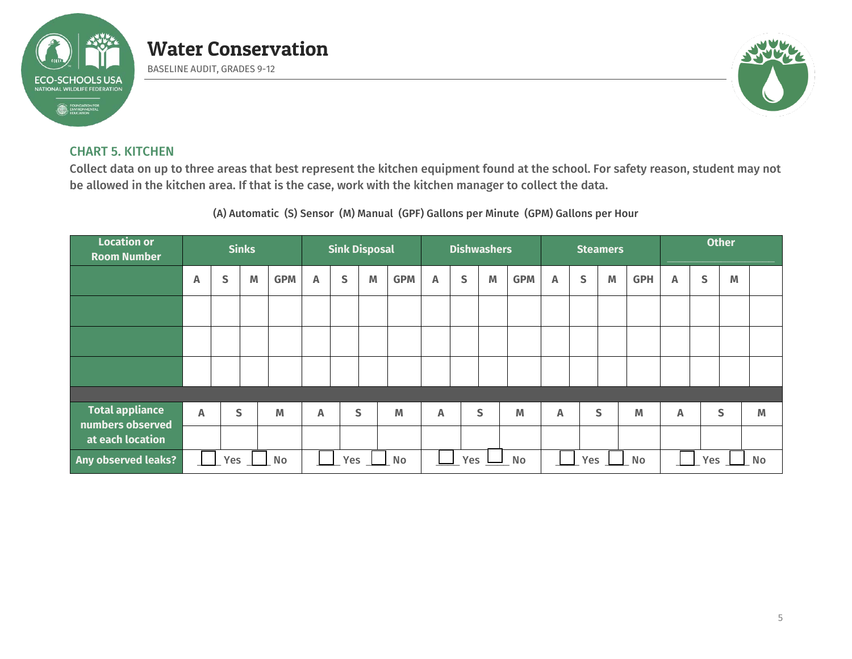

BASELINE AUDIT, GRADES 9-12



## CHART 5. KITCHEN

Collect data on up to three areas that best represent the kitchen equipment found at the school. For safety reason, student may not be allowed in the kitchen area. If that is the case, work with the kitchen manager to collect the data.

(A) Automatic (S) Sensor (M) Manual (GPF) Gallons per Minute (GPM) Gallons per Hour

| <b>Location or</b><br><b>Room Number</b>   | <b>Sinks</b> |     |   |            |                           | <b>Sink Disposal</b> |   |            | <b>Dishwashers</b> |   |   |                  |              |              | <b>Steamers</b> |                         | <b>Other</b> |   |              |   |
|--------------------------------------------|--------------|-----|---|------------|---------------------------|----------------------|---|------------|--------------------|---|---|------------------|--------------|--------------|-----------------|-------------------------|--------------|---|--------------|---|
|                                            | Α            | S   | M | <b>GPM</b> | Α                         | S                    | M | <b>GPM</b> | $\mathbb{A}$       | S | M | <b>GPM</b>       | Α            | $\mathsf{s}$ | M               | <b>GPH</b>              | Α            | S | M            |   |
|                                            |              |     |   |            |                           |                      |   |            |                    |   |   |                  |              |              |                 |                         |              |   |              |   |
|                                            |              |     |   |            |                           |                      |   |            |                    |   |   |                  |              |              |                 |                         |              |   |              |   |
|                                            |              |     |   |            |                           |                      |   |            |                    |   |   |                  |              |              |                 |                         |              |   |              |   |
|                                            |              |     |   |            |                           |                      |   |            |                    |   |   |                  |              |              |                 |                         |              |   |              |   |
| <b>Total appliance</b><br>numbers observed | A            |     | S | M          | $\boldsymbol{\mathsf{A}}$ |                      | S | M          | A                  |   | S | M                | $\mathbb{A}$ |              | S               | M                       | A            |   | $\mathsf{S}$ | M |
| at each location                           |              |     |   |            |                           |                      |   |            |                    |   |   |                  |              |              |                 |                         |              |   |              |   |
| Any observed leaks?                        |              | Yes |   | No         |                           | Yes<br>No            |   |            | Yes<br>No          |   |   | Yes<br><b>No</b> |              |              |                 | <b>No</b><br><b>Yes</b> |              |   |              |   |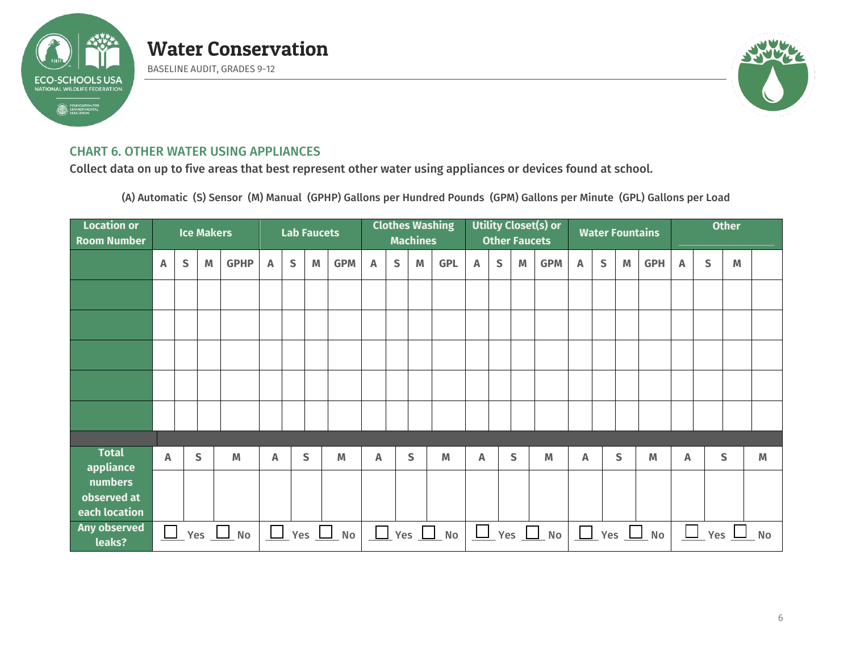

BASELINE AUDIT, GRADES 9-12



## CHART 6. OTHER WATER USING APPLIANCES

Collect data on up to five areas that best represent other water using appliances or devices found at school.

(A) Automatic (S) Sensor (M) Manual (GPHP) Gallons per Hundred Pounds (GPM) Gallons per Minute (GPL) Gallons per Load

| <b>Location or</b><br><b>Room Number</b> | <b>Ice Makers</b> |           |            |                |   |              | <b>Lab Faucets</b> |                              | <b>Clothes Washing</b><br><b>Machines</b> |             |              |                              | <b>Utility Closet(s) or</b><br><b>Other Faucets</b> |              |   |                      | <b>Water Fountains</b> |   |   |                      | <b>Other</b> |     |   |           |
|------------------------------------------|-------------------|-----------|------------|----------------|---|--------------|--------------------|------------------------------|-------------------------------------------|-------------|--------------|------------------------------|-----------------------------------------------------|--------------|---|----------------------|------------------------|---|---|----------------------|--------------|-----|---|-----------|
|                                          | A                 | ${\sf S}$ | M          | <b>GPHP</b>    | Α | $\mathsf{S}$ | M                  | <b>GPM</b>                   | Α                                         | $\mathsf S$ | M            | <b>GPL</b>                   | Α                                                   | $\mathsf{S}$ | M | <b>GPM</b>           | A                      | S | M | <b>GPH</b>           | A            | S   | M |           |
|                                          |                   |           |            |                |   |              |                    |                              |                                           |             |              |                              |                                                     |              |   |                      |                        |   |   |                      |              |     |   |           |
|                                          |                   |           |            |                |   |              |                    |                              |                                           |             |              |                              |                                                     |              |   |                      |                        |   |   |                      |              |     |   |           |
|                                          |                   |           |            |                |   |              |                    |                              |                                           |             |              |                              |                                                     |              |   |                      |                        |   |   |                      |              |     |   |           |
|                                          |                   |           |            |                |   |              |                    |                              |                                           |             |              |                              |                                                     |              |   |                      |                        |   |   |                      |              |     |   |           |
|                                          |                   |           |            |                |   |              |                    |                              |                                           |             |              |                              |                                                     |              |   |                      |                        |   |   |                      |              |     |   |           |
|                                          |                   |           |            |                |   |              |                    |                              |                                           |             |              |                              |                                                     |              |   |                      |                        |   |   |                      |              |     |   |           |
| <b>Total</b><br>appliance                | A                 |           | S          | M              | A |              | $\mathsf{s}$       | M                            | A                                         |             | $\mathsf{S}$ | M                            | A                                                   |              | S | M                    | A                      |   | S | M                    | A            |     | S | M         |
| numbers<br>observed at<br>each location  |                   |           |            |                |   |              |                    |                              |                                           |             |              |                              |                                                     |              |   |                      |                        |   |   |                      |              |     |   |           |
| Any observed<br>leaks?                   | $\Box$            |           | Yes $\Box$ | N <sub>o</sub> |   |              |                    | $\sqrt{2}$ Yes $\sqrt{2}$ No |                                           |             |              | $\sqrt{2}$ Yes $\sqrt{2}$ No |                                                     |              |   | $\Box$ Yes $\Box$ No |                        |   |   | $\Box$ Yes $\Box$ No | $\Box$       | Yes |   | <b>No</b> |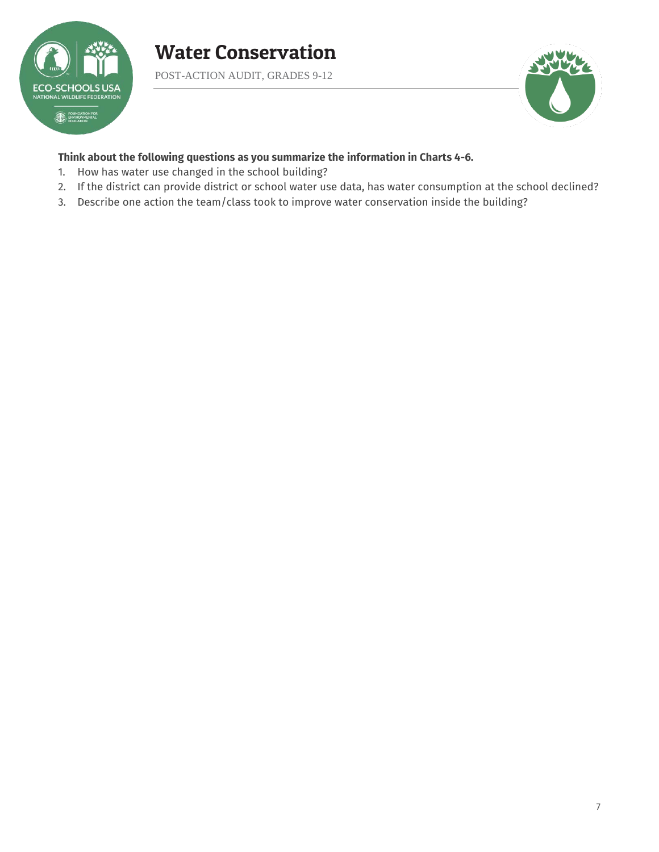

POST-ACTION AUDIT, GRADES 9-12



#### **Think about the following questions as you summarize the information in Charts 4-6.**

- 1. How has water use changed in the school building?
- 2. If the district can provide district or school water use data, has water consumption at the school declined?
- 3. Describe one action the team/class took to improve water conservation inside the building?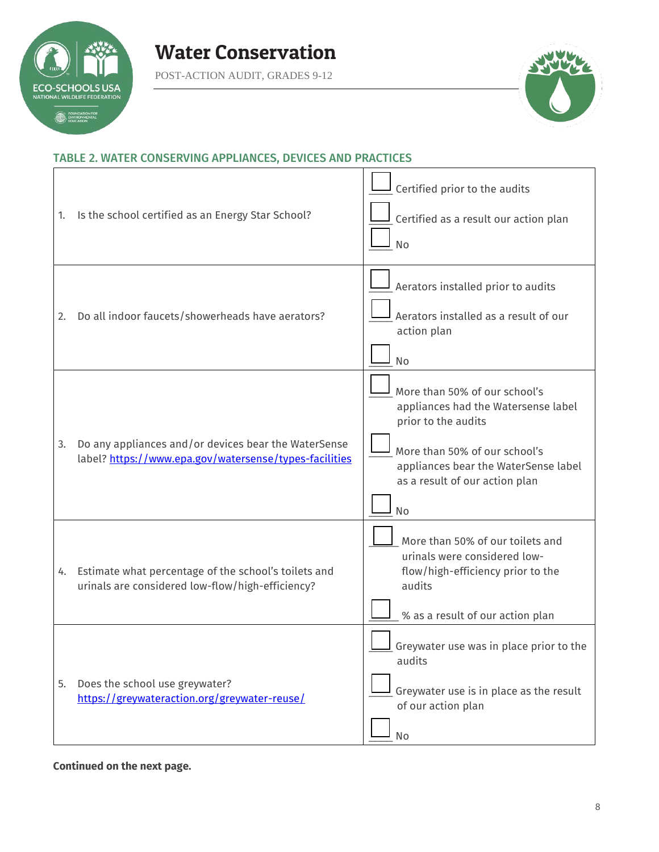

Г

POST-ACTION AUDIT, GRADES 9-12



### TABLE 2. WATER CONSERVING APPLIANCES, DEVICES AND PRACTICES

| 1. | Is the school certified as an Energy Star School?                                                              | Certified prior to the audits<br>Certified as a result our action plan<br><b>No</b>                                                                                                                                 |
|----|----------------------------------------------------------------------------------------------------------------|---------------------------------------------------------------------------------------------------------------------------------------------------------------------------------------------------------------------|
| 2. | Do all indoor faucets/showerheads have aerators?                                                               | Aerators installed prior to audits<br>Aerators installed as a result of our<br>action plan<br><b>No</b>                                                                                                             |
| 3. | Do any appliances and/or devices bear the WaterSense<br>label? https://www.epa.gov/watersense/types-facilities | More than 50% of our school's<br>appliances had the Watersense label<br>prior to the audits<br>More than 50% of our school's<br>appliances bear the WaterSense label<br>as a result of our action plan<br><b>No</b> |
|    | 4. Estimate what percentage of the school's toilets and<br>urinals are considered low-flow/high-efficiency?    | More than 50% of our toilets and<br>urinals were considered low-<br>flow/high-efficiency prior to the<br>audits<br>% as a result of our action plan                                                                 |
| 5. | Does the school use greywater?<br>https://greywateraction.org/greywater-reuse/                                 | Greywater use was in place prior to the<br>audits<br>Greywater use is in place as the result<br>of our action plan<br>No                                                                                            |

### **Continued on the next page.**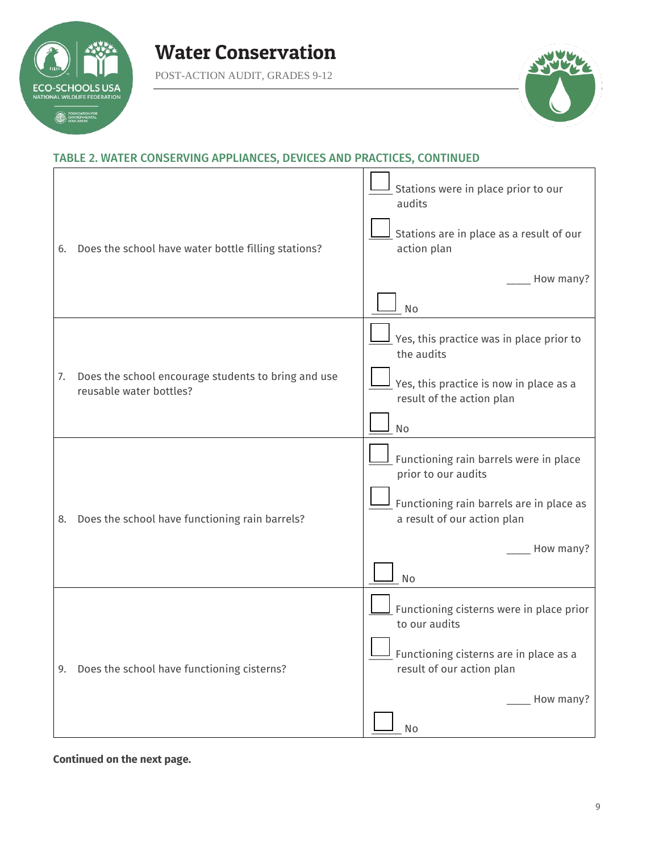

POST-ACTION AUDIT, GRADES 9-12



## TABLE 2. WATER CONSERVING APPLIANCES, DEVICES AND PRACTICES, CONTINUED

| 6. | Does the school have water bottle filling stations?                            | Stations were in place prior to our<br>audits<br>Stations are in place as a result of our<br>action plan<br>How many?<br>No                                   |
|----|--------------------------------------------------------------------------------|---------------------------------------------------------------------------------------------------------------------------------------------------------------|
| 7. | Does the school encourage students to bring and use<br>reusable water bottles? | Yes, this practice was in place prior to<br>the audits<br>Yes, this practice is now in place as a<br>result of the action plan<br>No                          |
| 8. | Does the school have functioning rain barrels?                                 | Functioning rain barrels were in place<br>prior to our audits<br>Functioning rain barrels are in place as<br>a result of our action plan<br>How many?<br>No   |
|    | 9. Does the school have functioning cisterns?                                  | Functioning cisterns were in place prior<br>to our audits<br><b>II</b> Functioning cisterns are in place as a<br>result of our action plan<br>How many?<br>No |

**Continued on the next page.**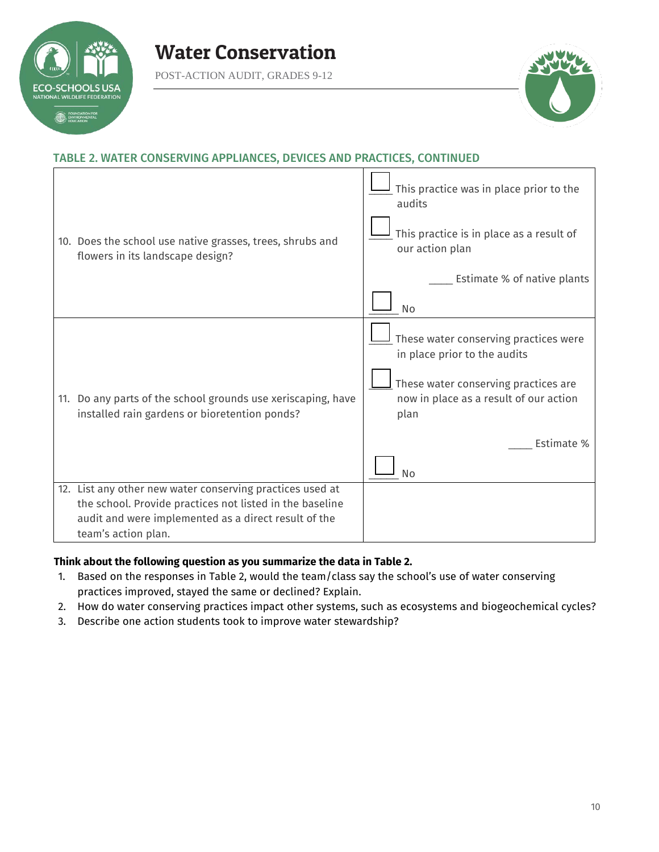

POST-ACTION AUDIT, GRADES 9-12



## TABLE 2. WATER CONSERVING APPLIANCES, DEVICES AND PRACTICES, CONTINUED

| 10. Does the school use native grasses, trees, shrubs and<br>flowers in its landscape design?                                                                                                        | This practice was in place prior to the<br>audits<br>This practice is in place as a result of<br>our action plan<br>Estimate % of native plants<br><b>No</b>                               |
|------------------------------------------------------------------------------------------------------------------------------------------------------------------------------------------------------|--------------------------------------------------------------------------------------------------------------------------------------------------------------------------------------------|
| 11. Do any parts of the school grounds use xeriscaping, have<br>installed rain gardens or bioretention ponds?                                                                                        | These water conserving practices were<br>in place prior to the audits<br>These water conserving practices are<br>now in place as a result of our action<br>plan<br>Estimate %<br><b>No</b> |
| 12. List any other new water conserving practices used at<br>the school. Provide practices not listed in the baseline<br>audit and were implemented as a direct result of the<br>team's action plan. |                                                                                                                                                                                            |

#### **Think about the following question as you summarize the data in Table 2.**

- 1. Based on the responses in Table 2, would the team/class say the school's use of water conserving practices improved, stayed the same or declined? Explain.
- 2. How do water conserving practices impact other systems, such as ecosystems and biogeochemical cycles?
- 3. Describe one action students took to improve water stewardship?